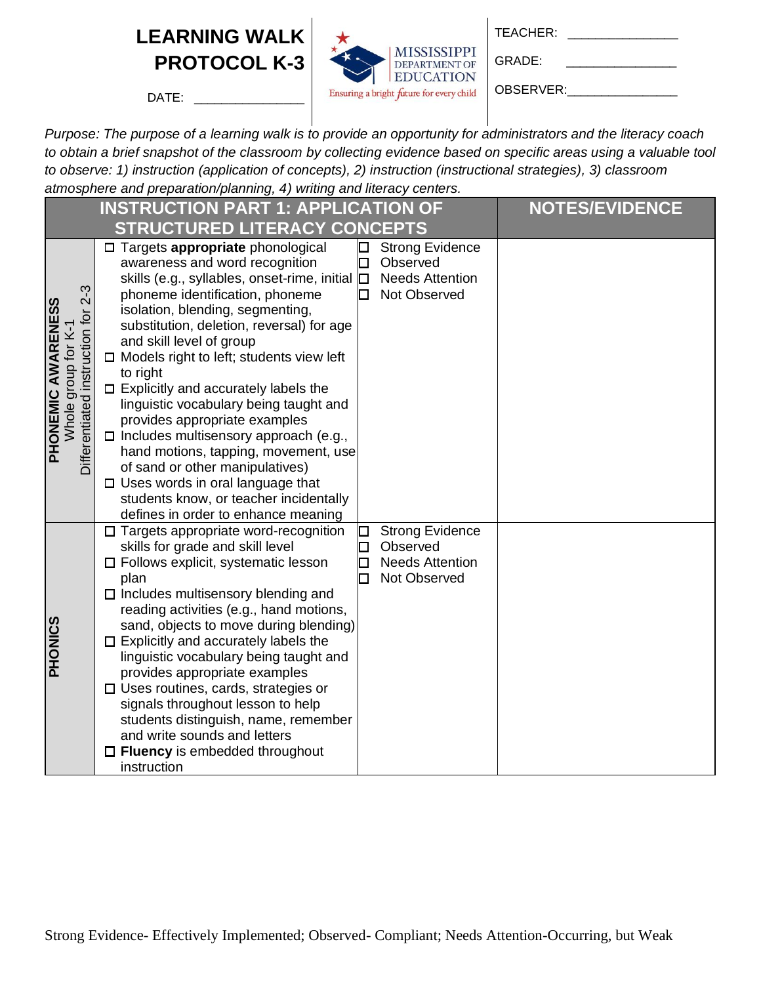DATE:



GRADE: \_\_\_\_\_\_\_\_\_\_\_\_\_\_\_\_

OBSERVER:

|                                                                                                 | <b>INSTRUCTION PART 1: APPLICATION OF</b>                                                                                                                                                                                                                                                                                                                                                                                                                                                                                                                                                                                                                                                                                                                                                                           | <b>NOTES/EVIDENCE</b> |
|-------------------------------------------------------------------------------------------------|---------------------------------------------------------------------------------------------------------------------------------------------------------------------------------------------------------------------------------------------------------------------------------------------------------------------------------------------------------------------------------------------------------------------------------------------------------------------------------------------------------------------------------------------------------------------------------------------------------------------------------------------------------------------------------------------------------------------------------------------------------------------------------------------------------------------|-----------------------|
|                                                                                                 | <b>STRUCTURED LITERACY CONCEPTS</b>                                                                                                                                                                                                                                                                                                                                                                                                                                                                                                                                                                                                                                                                                                                                                                                 |                       |
| $2 - 3$<br><b>PHONEMIC AWARENESS</b><br>jor<br>Whole group for K-<br>Differentiated instruction | □ Targets appropriate phonological<br><b>Strong Evidence</b><br>awareness and word recognition<br>Observed<br><b>Needs Attention</b><br>skills (e.g., syllables, onset-rime, initial $\square$<br>phoneme identification, phoneme<br>Not Observed<br>П<br>isolation, blending, segmenting,<br>substitution, deletion, reversal) for age<br>and skill level of group<br>$\Box$ Models right to left; students view left<br>to right<br>$\Box$ Explicitly and accurately labels the<br>linguistic vocabulary being taught and<br>provides appropriate examples<br>$\Box$ Includes multisensory approach (e.g.,<br>hand motions, tapping, movement, use<br>of sand or other manipulatives)<br>$\Box$ Uses words in oral language that<br>students know, or teacher incidentally<br>defines in order to enhance meaning |                       |
| <b>PHONICS</b>                                                                                  | $\square$ Targets appropriate word-recognition<br><b>Strong Evidence</b><br>skills for grade and skill level<br>Observed<br>$\square$ Follows explicit, systematic lesson<br><b>Needs Attention</b><br>Not Observed<br>plan<br>$\Box$ Includes multisensory blending and<br>reading activities (e.g., hand motions,<br>sand, objects to move during blending)<br>$\square$ Explicitly and accurately labels the<br>linguistic vocabulary being taught and<br>provides appropriate examples<br>$\Box$ Uses routines, cards, strategies or<br>signals throughout lesson to help<br>students distinguish, name, remember<br>and write sounds and letters<br>$\Box$ Fluency is embedded throughout<br>instruction                                                                                                       |                       |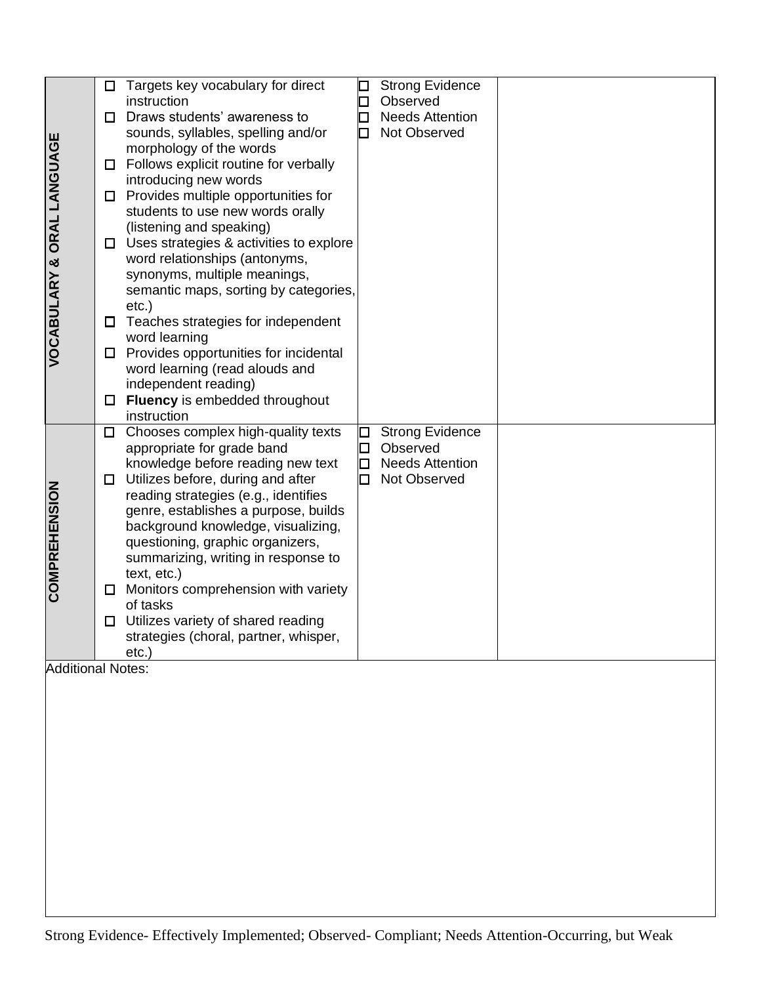|                            | □      | Targets key vocabulary for direct                                                                  | ⊡      | <b>Strong Evidence</b> |  |
|----------------------------|--------|----------------------------------------------------------------------------------------------------|--------|------------------------|--|
|                            |        | instruction                                                                                        |        | Observed               |  |
|                            | □      | Draws students' awareness to                                                                       | □      | <b>Needs Attention</b> |  |
|                            |        | sounds, syllables, spelling and/or                                                                 | П      | Not Observed           |  |
| VOCABULARY & ORAL LANGUAGE |        | morphology of the words                                                                            |        |                        |  |
|                            | □      | Follows explicit routine for verbally                                                              |        |                        |  |
|                            |        | introducing new words                                                                              |        |                        |  |
|                            | □      | Provides multiple opportunities for                                                                |        |                        |  |
|                            |        | students to use new words orally                                                                   |        |                        |  |
|                            |        | (listening and speaking)                                                                           |        |                        |  |
|                            | □      | Uses strategies & activities to explore                                                            |        |                        |  |
|                            |        | word relationships (antonyms,                                                                      |        |                        |  |
|                            |        | synonyms, multiple meanings,<br>semantic maps, sorting by categories,                              |        |                        |  |
|                            |        | $etc.$ )                                                                                           |        |                        |  |
|                            | $\Box$ | Teaches strategies for independent                                                                 |        |                        |  |
|                            |        | word learning                                                                                      |        |                        |  |
|                            | □      | Provides opportunities for incidental                                                              |        |                        |  |
|                            |        | word learning (read alouds and                                                                     |        |                        |  |
|                            |        | independent reading)                                                                               |        |                        |  |
|                            | □      | Fluency is embedded throughout                                                                     |        |                        |  |
|                            |        | instruction                                                                                        |        |                        |  |
|                            | $\Box$ | Chooses complex high-quality texts                                                                 | □      | <b>Strong Evidence</b> |  |
|                            |        | appropriate for grade band                                                                         |        | Observed               |  |
|                            |        | knowledge before reading new text                                                                  | ⊡      | <b>Needs Attention</b> |  |
|                            | $\Box$ | Utilizes before, during and after                                                                  | $\Box$ | Not Observed           |  |
|                            |        | reading strategies (e.g., identifies                                                               |        |                        |  |
|                            |        | genre, establishes a purpose, builds                                                               |        |                        |  |
|                            |        | background knowledge, visualizing,                                                                 |        |                        |  |
|                            |        | questioning, graphic organizers,                                                                   |        |                        |  |
|                            |        | summarizing, writing in response to                                                                |        |                        |  |
|                            |        | text, etc.)                                                                                        |        |                        |  |
| <b>COMPREHENSION</b>       | □      | Monitors comprehension with variety                                                                |        |                        |  |
|                            |        | of tasks                                                                                           |        |                        |  |
|                            | $\Box$ | Utilizes variety of shared reading                                                                 |        |                        |  |
|                            |        | strategies (choral, partner, whisper,                                                              |        |                        |  |
| <b>Additional Notes:</b>   |        | etc.                                                                                               |        |                        |  |
|                            |        |                                                                                                    |        |                        |  |
|                            |        |                                                                                                    |        |                        |  |
|                            |        |                                                                                                    |        |                        |  |
|                            |        |                                                                                                    |        |                        |  |
|                            |        |                                                                                                    |        |                        |  |
|                            |        |                                                                                                    |        |                        |  |
|                            |        |                                                                                                    |        |                        |  |
|                            |        |                                                                                                    |        |                        |  |
|                            |        |                                                                                                    |        |                        |  |
|                            |        |                                                                                                    |        |                        |  |
|                            |        |                                                                                                    |        |                        |  |
|                            |        |                                                                                                    |        |                        |  |
|                            |        |                                                                                                    |        |                        |  |
|                            |        |                                                                                                    |        |                        |  |
|                            |        |                                                                                                    |        |                        |  |
|                            |        | Strong Evidence- Effectively Implemented; Observed- Compliant; Needs Attention-Occurring, but Weak |        |                        |  |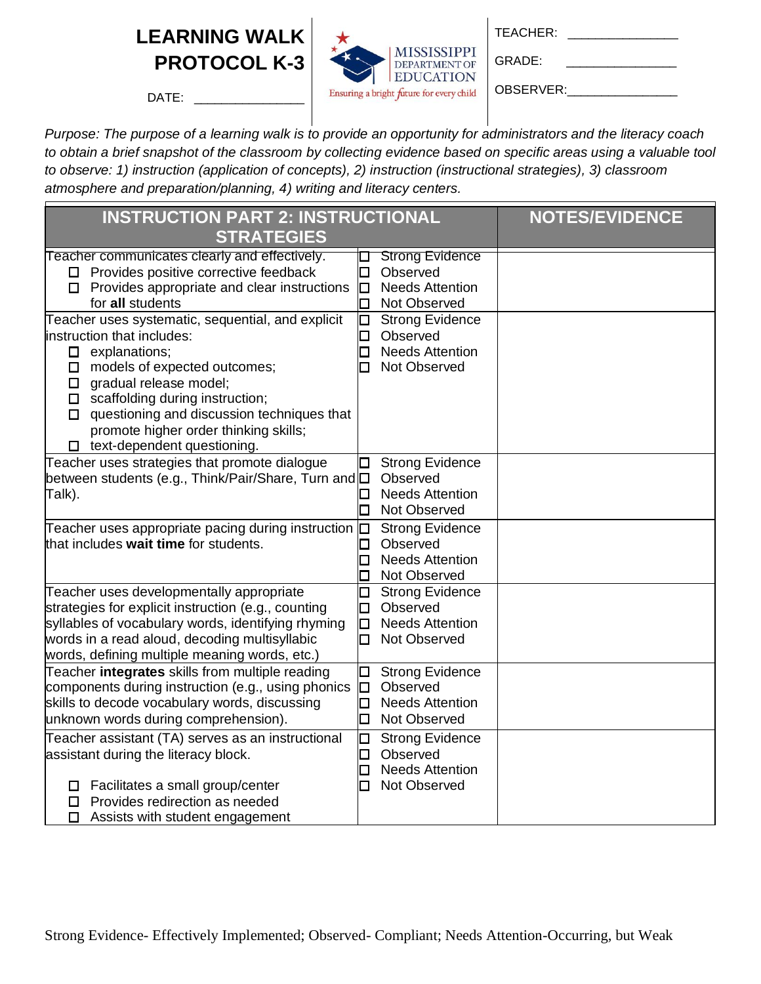

| TEACHER: |  |
|----------|--|
|          |  |

GRADE: \_\_\_\_\_\_\_\_\_\_\_\_\_\_\_\_

OBSERVER:

DATE:

| <b>INSTRUCTION PART 2: INSTRUCTIONAL</b>                                                                                                                                                                                                                                                                                                                                                                                                                                                              | <b>NOTES/EVIDENCE</b>                                                                                                                                                                      |  |
|-------------------------------------------------------------------------------------------------------------------------------------------------------------------------------------------------------------------------------------------------------------------------------------------------------------------------------------------------------------------------------------------------------------------------------------------------------------------------------------------------------|--------------------------------------------------------------------------------------------------------------------------------------------------------------------------------------------|--|
| <b>STRATEGIES</b>                                                                                                                                                                                                                                                                                                                                                                                                                                                                                     |                                                                                                                                                                                            |  |
| Teacher communicates clearly and effectively.<br>$\Box$ Provides positive corrective feedback<br>$\Box$ Provides appropriate and clear instructions<br>for all students<br>Teacher uses systematic, sequential, and explicit<br>instruction that includes:<br>$\Box$ explanations;<br>$\square$ models of expected outcomes;<br>$\Box$ gradual release model;<br>$\Box$ scaffolding during instruction;<br>$\Box$ questioning and discussion techniques that<br>promote higher order thinking skills; | <b>Strong Evidence</b><br>Observed<br>Ω<br><b>Needs Attention</b><br>O<br>Not Observed<br>◻<br><b>Strong Evidence</b><br>О<br>Observed<br>□<br><b>Needs Attention</b><br>◻<br>Not Observed |  |
| $\square$ text-dependent questioning.<br>Teacher uses strategies that promote dialogue<br>between students (e.g., Think/Pair/Share, Turn and $\square$<br>Talk).                                                                                                                                                                                                                                                                                                                                      | <b>Strong Evidence</b><br>Observed<br><b>Needs Attention</b><br>0<br>Not Observed<br>П                                                                                                     |  |
| Teacher uses appropriate pacing during instruction $\Box$<br>that includes wait time for students.                                                                                                                                                                                                                                                                                                                                                                                                    | <b>Strong Evidence</b><br>Observed<br>0<br><b>Needs Attention</b><br>□<br>Not Observed                                                                                                     |  |
| Teacher uses developmentally appropriate<br>strategies for explicit instruction (e.g., counting<br>syllables of vocabulary words, identifying rhyming<br>words in a read aloud, decoding multisyllabic<br>words, defining multiple meaning words, etc.)                                                                                                                                                                                                                                               | <b>Strong Evidence</b><br>□<br>Observed<br>Ω<br><b>Needs Attention</b><br>$\Box$<br>Not Observed<br>п                                                                                      |  |
| Teacher integrates skills from multiple reading<br>components during instruction (e.g., using phonics<br>skills to decode vocabulary words, discussing<br>unknown words during comprehension).                                                                                                                                                                                                                                                                                                        | <b>Strong Evidence</b><br>Ω<br>Observed<br>O<br><b>Needs Attention</b><br>$\Box$<br>Not Observed<br>0                                                                                      |  |
| Teacher assistant (TA) serves as an instructional<br>assistant during the literacy block.<br>Facilitates a small group/center<br>$\Box$<br>Provides redirection as needed<br>□<br>Assists with student engagement<br>□                                                                                                                                                                                                                                                                                | <b>Strong Evidence</b><br>$\Box$<br>Observed<br>Ω<br><b>Needs Attention</b><br>0<br>Not Observed<br>п                                                                                      |  |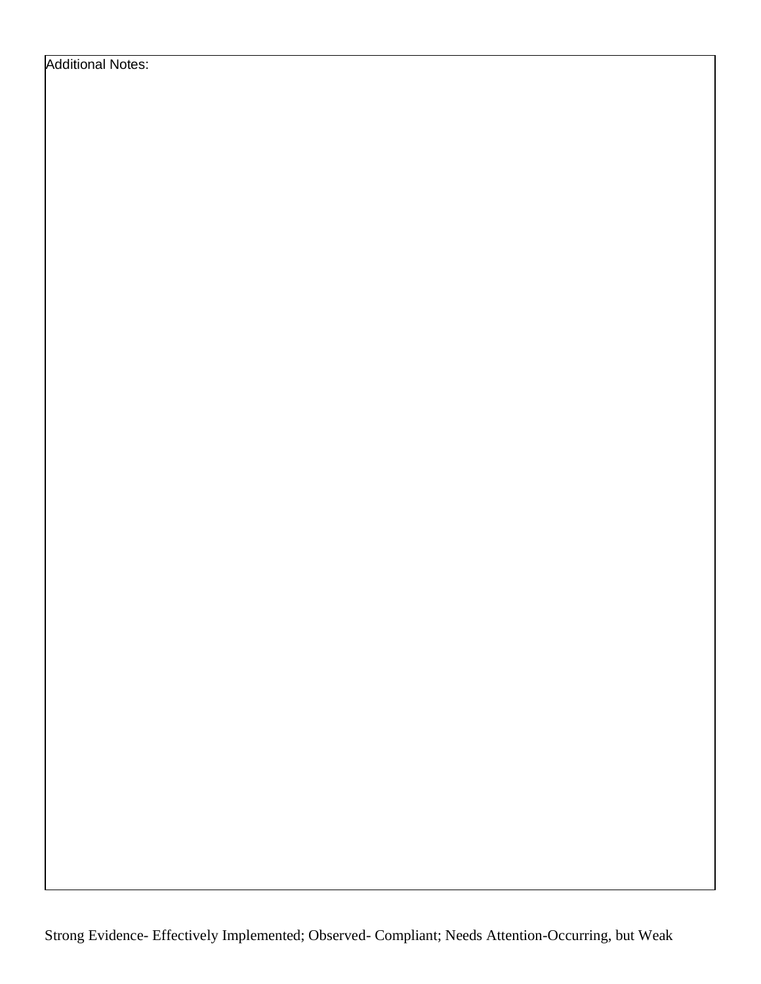Additional Notes: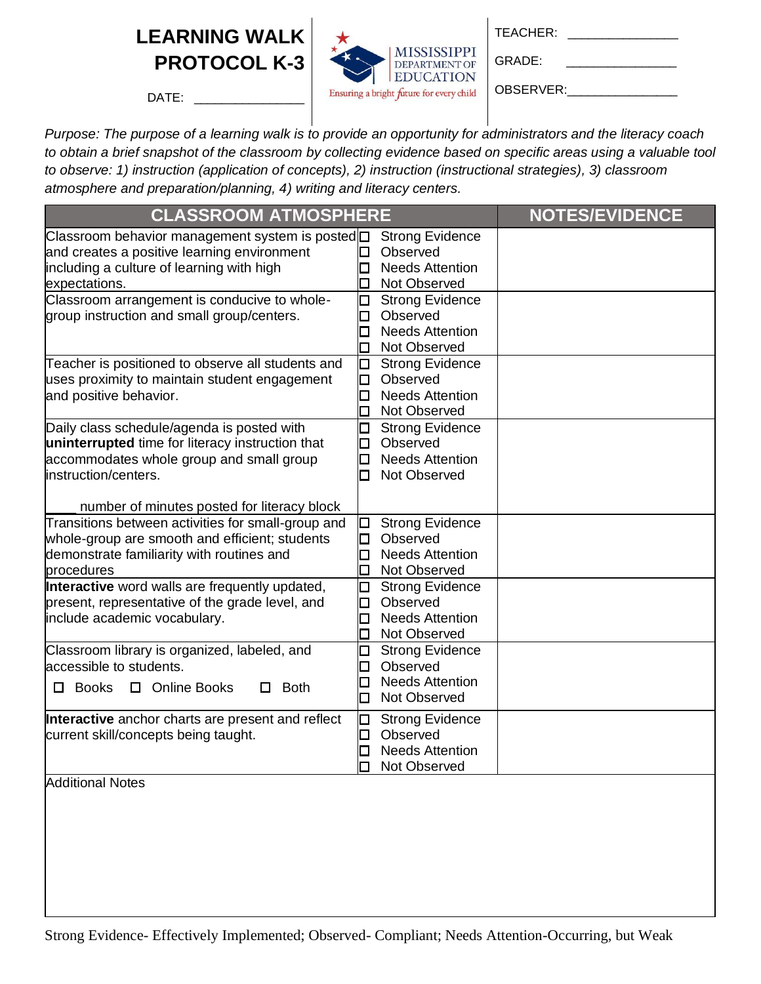

GRADE: \_\_\_\_\_\_\_\_\_\_\_\_\_\_\_\_

OBSERVER:

 $DATE:$ 

| <b>CLASSROOM ATMOSPHERE</b>                                                                                                                                                                                       | <b>NOTES/EVIDENCE</b>                                                                                      |  |
|-------------------------------------------------------------------------------------------------------------------------------------------------------------------------------------------------------------------|------------------------------------------------------------------------------------------------------------|--|
| Classroom behavior management system is posted <sup></sup> □<br>and creates a positive learning environment<br>including a culture of learning with high<br>expectations.                                         | <b>Strong Evidence</b><br>Observed<br>Ω<br><b>Needs Attention</b><br>$\Box$<br>Not Observed<br>$\Box$      |  |
| Classroom arrangement is conducive to whole-<br>group instruction and small group/centers.                                                                                                                        | <b>Strong Evidence</b><br>Ω<br>Observed<br>□<br><b>Needs Attention</b><br>$\Box$<br>口<br>Not Observed      |  |
| Teacher is positioned to observe all students and<br>uses proximity to maintain student engagement<br>and positive behavior.                                                                                      | □<br><b>Strong Evidence</b><br>Observed<br>О<br><b>Needs Attention</b><br>$\Box$<br>Not Observed<br>□      |  |
| Daily class schedule/agenda is posted with<br>uninterrupted time for literacy instruction that<br>accommodates whole group and small group<br>instruction/centers.<br>number of minutes posted for literacy block | Ω<br><b>Strong Evidence</b><br>Observed<br>$\Box$<br><b>Needs Attention</b><br>□<br>Not Observed<br>0      |  |
| Transitions between activities for small-group and<br>whole-group are smooth and efficient; students<br>demonstrate familiarity with routines and<br>procedures                                                   | <b>Strong Evidence</b><br>О<br>Observed<br>O<br><b>Needs Attention</b><br>□<br>$\Box$<br>Not Observed      |  |
| Interactive word walls are frequently updated,<br>present, representative of the grade level, and<br>include academic vocabulary.                                                                                 | Ω<br><b>Strong Evidence</b><br>Observed<br>$\Box$<br><b>Needs Attention</b><br>$\Box$<br>Not Observed<br>□ |  |
| Classroom library is organized, labeled, and<br>accessible to students.<br>□ Online Books<br><b>Books</b><br><b>Both</b><br>□.<br>□                                                                               | <b>Strong Evidence</b><br>Ω<br>Observed<br>□<br><b>Needs Attention</b><br>□<br>Not Observed<br>□           |  |
| Interactive anchor charts are present and reflect<br>current skill/concepts being taught.                                                                                                                         | O<br><b>Strong Evidence</b><br>Observed<br>O<br><b>Needs Attention</b><br>O<br>Not Observed<br>П           |  |
| <b>Additional Notes</b>                                                                                                                                                                                           |                                                                                                            |  |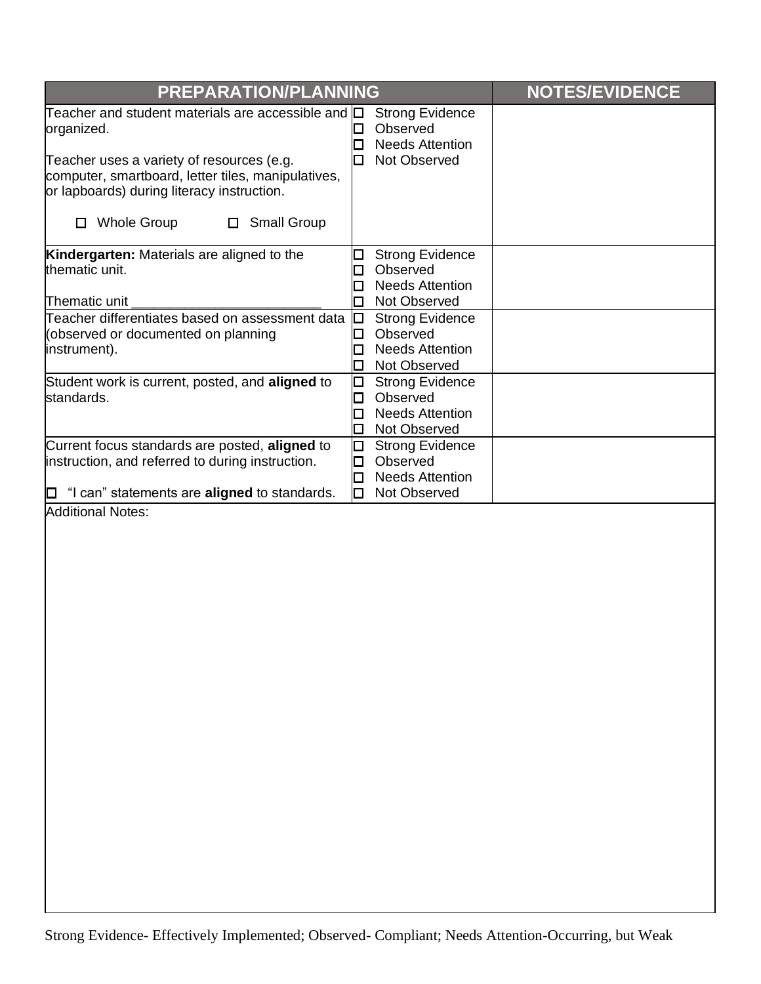| PREPARATION/PLANNING                                                                                                                                                                                                                                                       |                                                                                                            | <b>NOTES/EVIDENCE</b> |
|----------------------------------------------------------------------------------------------------------------------------------------------------------------------------------------------------------------------------------------------------------------------------|------------------------------------------------------------------------------------------------------------|-----------------------|
| Teacher and student materials are accessible and<br>organized.<br>Teacher uses a variety of resources (e.g.<br>computer, smartboard, letter tiles, manipulatives,<br>or lapboards) during literacy instruction.<br><b>Whole Group</b><br><b>Small Group</b><br>0<br>$\Box$ | <b>Strong Evidence</b><br>Ю<br>Observed<br>$\Box$<br><b>Needs Attention</b><br>$\Box$<br>Not Observed<br>□ |                       |
| Kindergarten: Materials are aligned to the<br>thematic unit.<br>Thematic unit                                                                                                                                                                                              | <b>Strong Evidence</b><br>⊔<br>Observed<br>$\Box$<br><b>Needs Attention</b><br>□<br>Not Observed<br>$\Box$ |                       |
| Teacher differentiates based on assessment data<br>(observed or documented on planning<br>instrument).                                                                                                                                                                     | $\Box$<br><b>Strong Evidence</b><br>Observed<br>□<br><b>Needs Attention</b><br>□<br>Not Observed<br>$\Box$ |                       |
| Student work is current, posted, and aligned to<br>standards.                                                                                                                                                                                                              | <b>Strong Evidence</b><br>□<br>Observed<br>□<br><b>Needs Attention</b><br>□<br>Not Observed<br>□           |                       |
| Current focus standards are posted, aligned to<br>instruction, and referred to during instruction.<br>$\Box$ "I can" statements are <b>aligned</b> to standards.                                                                                                           | 口<br><b>Strong Evidence</b><br>Observed<br>□<br><b>Needs Attention</b><br>□<br>Not Observed<br>0           |                       |
| <b>Additional Notes:</b>                                                                                                                                                                                                                                                   |                                                                                                            |                       |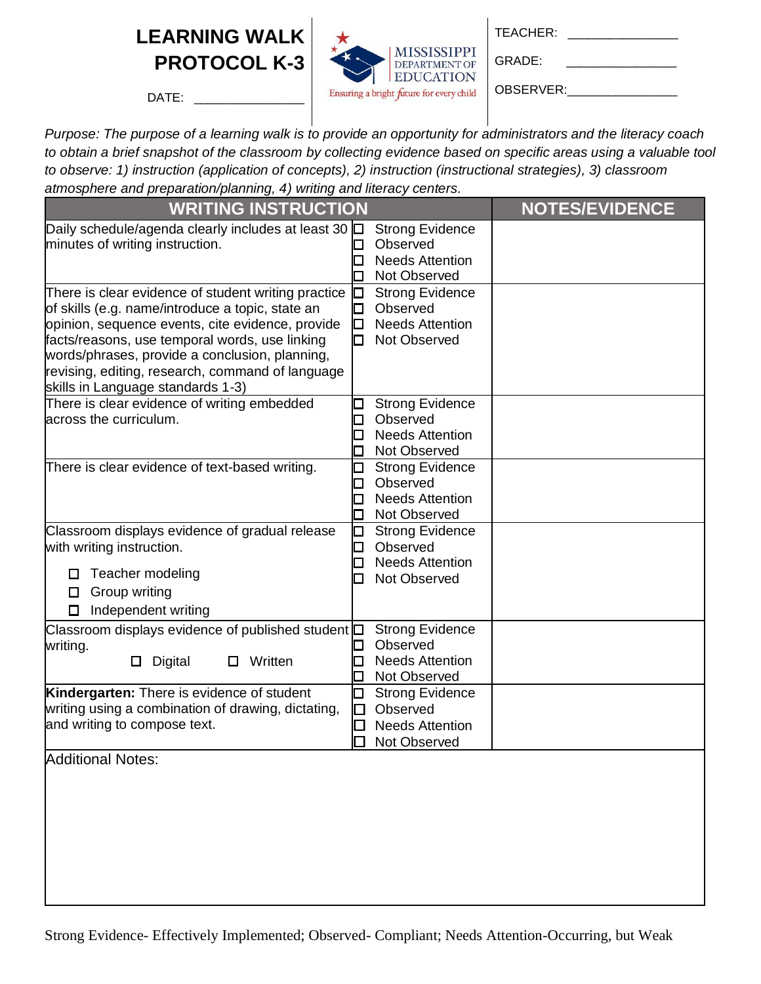DATE:



GRADE: \_\_\_\_\_\_\_\_\_\_\_\_\_\_\_\_

OBSERVER:

| <b>WRITING INSTRUCTION</b>                                                                                                                                                                                                                                                                                                                               | <b>NOTES/EVIDENCE</b>                                                                                 |  |
|----------------------------------------------------------------------------------------------------------------------------------------------------------------------------------------------------------------------------------------------------------------------------------------------------------------------------------------------------------|-------------------------------------------------------------------------------------------------------|--|
| Daily schedule/agenda clearly includes at least 30 0<br>minutes of writing instruction.                                                                                                                                                                                                                                                                  | <b>Strong Evidence</b><br>Observed<br><b>Needs Attention</b><br>□<br>Not Observed<br>□                |  |
| There is clear evidence of student writing practice<br>of skills (e.g. name/introduce a topic, state an<br>opinion, sequence events, cite evidence, provide<br>facts/reasons, use temporal words, use linking<br>words/phrases, provide a conclusion, planning,<br>revising, editing, research, command of language<br>skills in Language standards 1-3) | <b>Strong Evidence</b><br>О<br>Observed<br>□<br><b>Needs Attention</b><br>О<br>Not Observed<br>□      |  |
| There is clear evidence of writing embedded<br>across the curriculum.                                                                                                                                                                                                                                                                                    | <b>Strong Evidence</b><br>□<br>Observed<br>$\Box$<br><b>Needs Attention</b><br>Ω<br>Not Observed<br>Ω |  |
| There is clear evidence of text-based writing.                                                                                                                                                                                                                                                                                                           | <b>Strong Evidence</b><br>□<br>Observed<br>П<br><b>Needs Attention</b><br>Ω<br>Not Observed<br>Ο      |  |
| Classroom displays evidence of gradual release<br>with writing instruction.<br>Teacher modeling<br>□<br>$\Box$ Group writing<br>Independent writing<br>□                                                                                                                                                                                                 | <b>Strong Evidence</b><br>О<br>Observed<br>$\Box$<br><b>Needs Attention</b><br>0<br>Not Observed<br>п |  |
| Classroom displays evidence of published student $\Box$<br>writing.<br>Written<br>Digital<br>□<br>0.                                                                                                                                                                                                                                                     | <b>Strong Evidence</b><br>Observed<br>◻<br><b>Needs Attention</b><br>□<br>Not Observed<br>□           |  |
| Kindergarten: There is evidence of student<br>writing using a combination of drawing, dictating,<br>and writing to compose text.                                                                                                                                                                                                                         | <b>Strong Evidence</b><br>◻<br>Observed<br>$\Box$<br><b>Needs Attention</b><br>П<br>Not Observed      |  |
| Additional Notes:                                                                                                                                                                                                                                                                                                                                        |                                                                                                       |  |